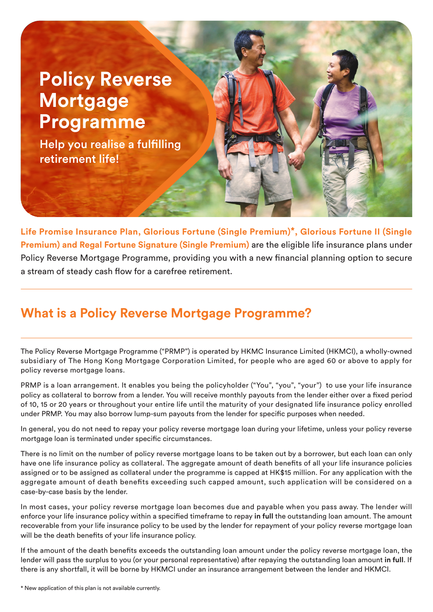# **Policy Reverse Mortgage Programme**

Help you realise a fulfilling retirement life!

**Life Promise Insurance Plan, Glorious Fortune (Single Premium)\*, Glorious Fortune II (Single Premium) and Regal Fortune Signature (Single Premium)** are the eligible life insurance plans under Policy Reverse Mortgage Programme, providing you with a new financial planning option to secure a stream of steady cash flow for a carefree retirement.

## **What is a Policy Reverse Mortgage Programme?**

The Policy Reverse Mortgage Programme ("PRMP") is operated by HKMC Insurance Limited (HKMCI), a wholly-owned subsidiary of The Hong Kong Mortgage Corporation Limited, for people who are aged 60 or above to apply for policy reverse mortgage loans.

PRMP is a loan arrangement. It enables you being the policyholder ("You", "you", "your") to use your life insurance policy as collateral to borrow from a lender. You will receive monthly payouts from the lender either over a fixed period of 10, 15 or 20 years or throughout your entire life until the maturity of your designated life insurance policy enrolled under PRMP. You may also borrow lump-sum payouts from the lender for specific purposes when needed.

In general, you do not need to repay your policy reverse mortgage loan during your lifetime, unless your policy reverse mortgage loan is terminated under specific circumstances.

There is no limit on the number of policy reverse mortgage loans to be taken out by a borrower, but each loan can only have one life insurance policy as collateral. The aggregate amount of death benefits of all your life insurance policies assigned or to be assigned as collateral under the programme is capped at HK\$15 million. For any application with the aggregate amount of death benefits exceeding such capped amount, such application will be considered on a case-by-case basis by the lender.

In most cases, your policy reverse mortgage loan becomes due and payable when you pass away. The lender will enforce your life insurance policy within a specified timeframe to repay in full the outstanding loan amount. The amount recoverable from your life insurance policy to be used by the lender for repayment of your policy reverse mortgage loan will be the death benefits of your life insurance policy.

If the amount of the death benefits exceeds the outstanding loan amount under the policy reverse mortgage loan, the lender will pass the surplus to you (or your personal representative) after repaying the outstanding loan amount **in full**. If there is any shortfall, it will be borne by HKMCI under an insurance arrangement between the lender and HKMCI.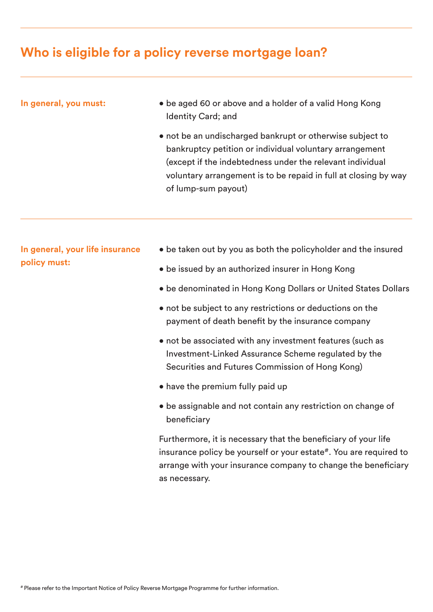### **Who is eligible for a policy reverse mortgage loan?**

#### **In general, you must:**

- be aged 60 or above and a holder of a valid Hong Kong Identity Card; and
- not be an undischarged bankrupt or otherwise subject to bankruptcy petition or individual voluntary arrangement (except if the indebtedness under the relevant individual voluntary arrangement is to be repaid in full at closing by way of lump-sum payout)

**In general, your life insurance policy must:**

- be taken out by you as both the policyholder and the insured
- be issued by an authorized insurer in Hong Kong
- be denominated in Hong Kong Dollars or United States Dollars
- not be subject to any restrictions or deductions on the payment of death benefit by the insurance company
- not be associated with any investment features (such as Investment-Linked Assurance Scheme regulated by the Securities and Futures Commission of Hong Kong)
- have the premium fully paid up
- be assignable and not contain any restriction on change of beneficiary

Furthermore, it is necessary that the beneficiary of your life insurance policy be yourself or your estate#. You are required to arrange with your insurance company to change the beneficiary as necessary.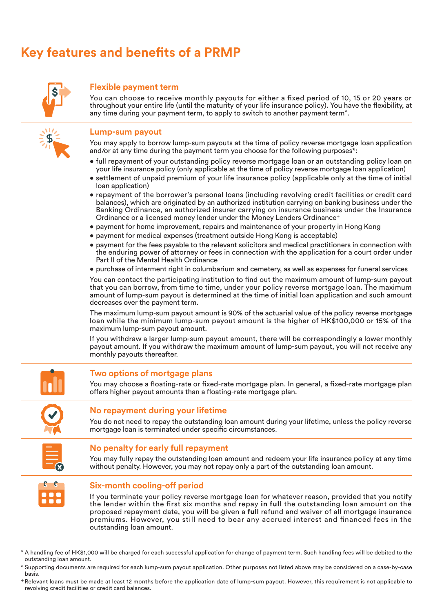## **Key features and benefits of a PRMP**



#### **Flexible payment term**

You can choose to receive monthly payouts for either a fixed period of 10, 15 or 20 years or throughout your entire life (until the maturity of your life insurance policy). You have the flexibility, at any time during your payment term, to apply to switch to another payment term<sup>^</sup>.



#### **Lump-sum payout**

You may apply to borrow lump-sum payouts at the time of policy reverse mortgage loan application and/or at any time during the payment term you choose for the following purposes\*:

- full repayment of your outstanding policy reverse mortgage loan or an outstanding policy loan on your life insurance policy (only applicable at the time of policy reverse mortgage loan application)
- settlement of unpaid premium of your life insurance policy (applicable only at the time of initial loan application)
- repayment of the borrower's personal loans (including revolving credit facilities or credit card balances), which are originated by an authorized institution carrying on banking business under the Banking Ordinance, an authorized insurer carrying on insurance business under the Insurance Ordinance or a licensed money lender under the Money Lenders Ordinance<sup>+</sup>
- payment for home improvement, repairs and maintenance of your property in Hong Kong
- payment for medical expenses (treatment outside Hong Kong is acceptable)
- payment for the fees payable to the relevant solicitors and medical practitioners in connection with the enduring power of attorney or fees in connection with the application for a court order under Part II of the Mental Health Ordinance
- purchase of interment right in columbarium and cemetery, as well as expenses for funeral services

You can contact the participating institution to find out the maximum amount of lump-sum payout that you can borrow, from time to time, under your policy reverse mortgage loan. The maximum amount of lump-sum payout is determined at the time of initial loan application and such amount decreases over the payment term.

The maximum lump-sum payout amount is 90% of the actuarial value of the policy reverse mortgage loan while the minimum lump-sum payout amount is the higher of HK\$100,000 or 15% of the maximum lump-sum payout amount.

If you withdraw a larger lump-sum payout amount, there will be correspondingly a lower monthly payout amount. If you withdraw the maximum amount of lump-sum payout, you will not receive any monthly payouts thereafter.



#### **Two options of mortgage plans**

You may choose a floating-rate or fixed-rate mortgage plan. In general, a fixed-rate mortgage plan offers higher payout amounts than a floating-rate mortgage plan.

#### **No repayment during your lifetime**

You do not need to repay the outstanding loan amount during your lifetime, unless the policy reverse mortgage loan is terminated under specific circumstances.



#### **No penalty for early full repayment**

You may fully repay the outstanding loan amount and redeem your life insurance policy at any time without penalty. However, you may not repay only a part of the outstanding loan amount.



#### **Six-month cooling-off period**

If you terminate your policy reverse mortgage loan for whatever reason, provided that you notify the lender within the first six months and repay in full the outstanding loan amount on the proposed repayment date, you will be given a **full** refund and waiver of all mortgage insurance premiums. However, you still need to bear any accrued interest and financed fees in the outstanding loan amount.

- ^ A handling fee of HK\$1,000 will be charged for each successful application for change of payment term. Such handling fees will be debited to the outstanding loan amount.
- Supporting documents are required for each lump-sum payout application. Other purposes not listed above may be considered on a case-by-case basis.
- + Relevant loans must be made at least 12 months before the application date of lump-sum payout. However, this requirement is not applicable to revolving credit facilities or credit card balances.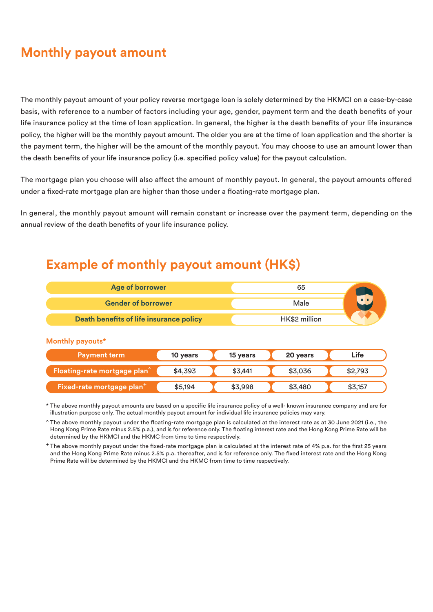### **Monthly payout amount**

The monthly payout amount of your policy reverse mortgage loan is solely determined by the HKMCI on a case-by-case basis, with reference to a number of factors including your age, gender, payment term and the death benefits of your life insurance policy at the time of loan application. In general, the higher is the death benefits of your life insurance policy, the higher will be the monthly payout amount. The older you are at the time of loan application and the shorter is the payment term, the higher will be the amount of the monthly payout. You may choose to use an amount lower than the death benefits of your life insurance policy (i.e. specified policy value) for the payout calculation.

The mortgage plan you choose will also affect the amount of monthly payout. In general, the payout amounts offered under a fixed-rate mortgage plan are higher than those under a floating-rate mortgage plan.

In general, the monthly payout amount will remain constant or increase over the payment term, depending on the annual review of the death benefits of your life insurance policy.

### **Example of monthly payout amount (HK\$)**

| Age of borrower                         | 65            |    |
|-----------------------------------------|---------------|----|
| <b>Gender of borrower</b>               | Male          | пг |
| Death benefits of life insurance policy | HK\$2 million |    |

#### **Monthly payouts\***

| <b>Payment term</b>                             | 10 years | 15 years | 20 years | Life    |
|-------------------------------------------------|----------|----------|----------|---------|
| <b>Floating-rate mortgage plan</b> <sup>2</sup> | \$4,393  | \$3,441  | \$3,036  | \$2,793 |
| Fixed-rate mortgage plan <sup>+</sup>           | \$5,194  | \$3,998  | \$3,480  | \$3,157 |

\* The above monthly payout amounts are based on a specific life insurance policy of a well- known insurance company and are for illustration purpose only. The actual monthly payout amount for individual life insurance policies may vary.

^ The above monthly payout under the floating-rate mortgage plan is calculated at the interest rate as at 30 June 2021 (i.e., the Hong Kong Prime Rate minus 2.5% p.a.), and is for reference only. The floating interest rate and the Hong Kong Prime Rate will be determined by the HKMCI and the HKMC from time to time respectively.

+ The above monthly payout under the fixed-rate mortgage plan is calculated at the interest rate of 4% p.a. for the first 25 years and the Hong Kong Prime Rate minus 2.5% p.a. thereafter, and is for reference only. The fixed interest rate and the Hong Kong Prime Rate will be determined by the HKMCI and the HKMC from time to time respectively.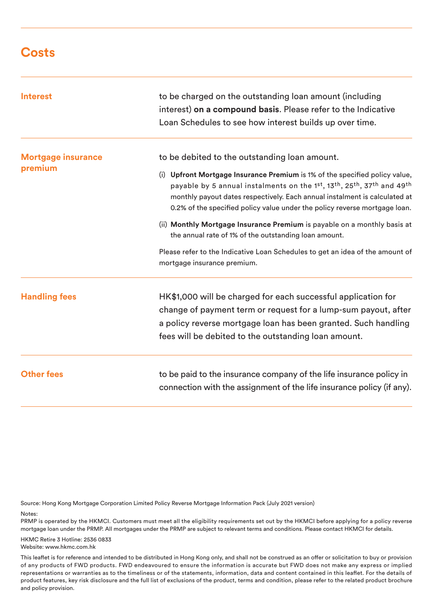### **Costs**

| <b>Interest</b>                      | to be charged on the outstanding loan amount (including<br>interest) on a compound basis. Please refer to the Indicative<br>Loan Schedules to see how interest builds up over time.                                                                                                                              |  |
|--------------------------------------|------------------------------------------------------------------------------------------------------------------------------------------------------------------------------------------------------------------------------------------------------------------------------------------------------------------|--|
| <b>Mortgage insurance</b><br>premium | to be debited to the outstanding loan amount.                                                                                                                                                                                                                                                                    |  |
|                                      | (i) Upfront Mortgage Insurance Premium is 1% of the specified policy value,<br>payable by 5 annual instalments on the 1st, 13th, 25th, 37th and 49th<br>monthly payout dates respectively. Each annual instalment is calculated at<br>0.2% of the specified policy value under the policy reverse mortgage loan. |  |
|                                      | (ii) Monthly Mortgage Insurance Premium is payable on a monthly basis at<br>the annual rate of 1% of the outstanding loan amount.                                                                                                                                                                                |  |
|                                      | Please refer to the Indicative Loan Schedules to get an idea of the amount of<br>mortgage insurance premium.                                                                                                                                                                                                     |  |
| <b>Handling fees</b>                 | HK\$1,000 will be charged for each successful application for<br>change of payment term or request for a lump-sum payout, after<br>a policy reverse mortgage loan has been granted. Such handling<br>fees will be debited to the outstanding loan amount.                                                        |  |
| <b>Other fees</b>                    | to be paid to the insurance company of the life insurance policy in<br>connection with the assignment of the life insurance policy (if any).                                                                                                                                                                     |  |

Source: Hong Kong Mortgage Corporation Limited Policy Reverse Mortgage Information Pack (July 2021 version)

#### Notes:

PRMP is operated by the HKMCI. Customers must meet all the eligibility requirements set out by the HKMCI before applying for a policy reverse mortgage loan under the PRMP. All mortgages under the PRMP are subject to relevant terms and conditions. Please contact HKMCI for details.

#### HKMC Retire 3 Hotline: 2536 0833 Website: www.hkmc.com.hk

This leaflet is for reference and intended to be distributed in Hong Kong only, and shall not be construed as an offer or solicitation to buy or provision of any products of FWD products. FWD endeavoured to ensure the information is accurate but FWD does not make any express or implied representations or warranties as to the timeliness or of the statements, information, data and content contained in this leaflet. For the details of product features, key risk disclosure and the full list of exclusions of the product, terms and condition, please refer to the related product brochure and policy provision.